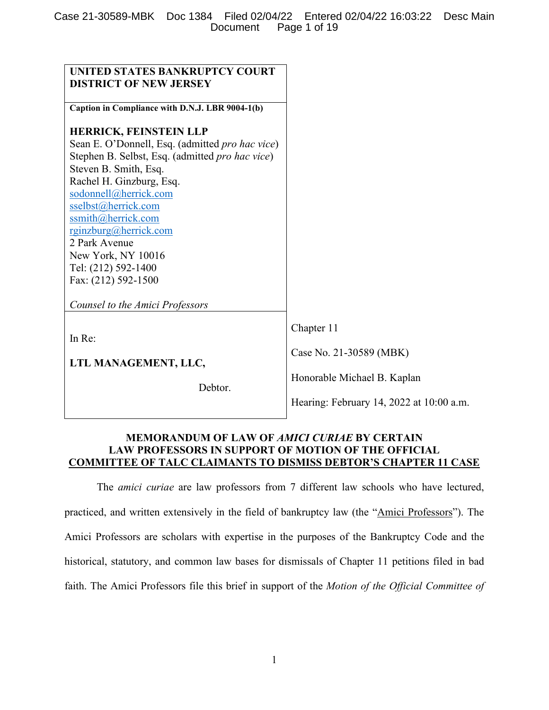| <b>UNITED STATES BANKRUPTCY COURT</b><br><b>DISTRICT OF NEW JERSEY</b>                                                                                                                                                                                                                                                                                                                                          |                                                                                                                  |
|-----------------------------------------------------------------------------------------------------------------------------------------------------------------------------------------------------------------------------------------------------------------------------------------------------------------------------------------------------------------------------------------------------------------|------------------------------------------------------------------------------------------------------------------|
| Caption in Compliance with D.N.J. LBR 9004-1(b)                                                                                                                                                                                                                                                                                                                                                                 |                                                                                                                  |
| <b>HERRICK, FEINSTEIN LLP</b><br>Sean E. O'Donnell, Esq. (admitted pro hac vice)<br>Stephen B. Selbst, Esq. (admitted pro hac vice)<br>Steven B. Smith, Esq.<br>Rachel H. Ginzburg, Esq.<br>sodonnell@herrick.com<br>sselbst@herrick.com<br>ssmith@herrick.com<br>rginzburg@herrick.com<br>2 Park Avenue<br>New York, NY 10016<br>Tel: (212) 592-1400<br>Fax: (212) 592-1500<br>Counsel to the Amici Professors |                                                                                                                  |
| In Re:<br>LTL MANAGEMENT, LLC,<br>Debtor.                                                                                                                                                                                                                                                                                                                                                                       | Chapter 11<br>Case No. 21-30589 (MBK)<br>Honorable Michael B. Kaplan<br>Hearing: February 14, 2022 at 10:00 a.m. |

## **MEMORANDUM OF LAW OF** *AMICI CURIAE* **BY CERTAIN LAW PROFESSORS IN SUPPORT OF MOTION OF THE OFFICIAL COMMITTEE OF TALC CLAIMANTS TO DISMISS DEBTOR'S CHAPTER 11 CASE**

The *amici curiae* are law professors from 7 different law schools who have lectured, practiced, and written extensively in the field of bankruptcy law (the "Amici Professors"). The Amici Professors are scholars with expertise in the purposes of the Bankruptcy Code and the historical, statutory, and common law bases for dismissals of Chapter 11 petitions filed in bad faith. The Amici Professors file this brief in support of the *Motion of the Official Committee of*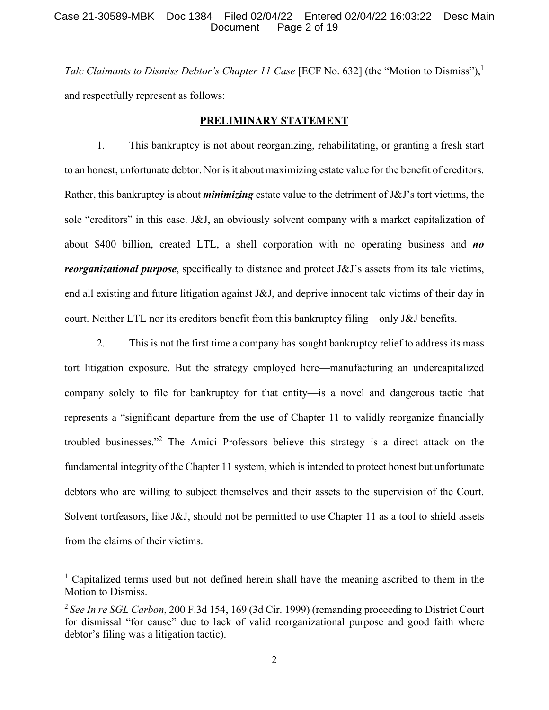#### Case 21-30589-MBK Doc 1384 Filed 02/04/22 Entered 02/04/22 16:03:22 Desc Main Document Page 2 of 19

*Talc Claimants to Dismiss Debtor's Chapter 11 Case* [ECF No. 632] (the "Motion to Dismiss"),<sup>1</sup> and respectfully represent as follows:

#### **PRELIMINARY STATEMENT**

1. This bankruptcy is not about reorganizing, rehabilitating, or granting a fresh start to an honest, unfortunate debtor. Nor is it about maximizing estate value for the benefit of creditors. Rather, this bankruptcy is about *minimizing* estate value to the detriment of J&J's tort victims, the sole "creditors" in this case. J&J, an obviously solvent company with a market capitalization of about \$400 billion, created LTL, a shell corporation with no operating business and *no reorganizational purpose*, specifically to distance and protect J&J's assets from its talc victims, end all existing and future litigation against J&J, and deprive innocent talc victims of their day in court. Neither LTL nor its creditors benefit from this bankruptcy filing—only J&J benefits.

2. This is not the first time a company has sought bankruptcy relief to address its mass tort litigation exposure. But the strategy employed here—manufacturing an undercapitalized company solely to file for bankruptcy for that entity—is a novel and dangerous tactic that represents a "significant departure from the use of Chapter 11 to validly reorganize financially troubled businesses."<sup>2</sup> The Amici Professors believe this strategy is a direct attack on the fundamental integrity of the Chapter 11 system, which is intended to protect honest but unfortunate debtors who are willing to subject themselves and their assets to the supervision of the Court. Solvent tortfeasors, like J&J, should not be permitted to use Chapter 11 as a tool to shield assets from the claims of their victims.

<sup>&</sup>lt;sup>1</sup> Capitalized terms used but not defined herein shall have the meaning ascribed to them in the Motion to Dismiss.

<sup>2</sup>*See In re SGL Carbon*, 200 F.3d 154, 169 (3d Cir. 1999) (remanding proceeding to District Court for dismissal "for cause" due to lack of valid reorganizational purpose and good faith where debtor's filing was a litigation tactic).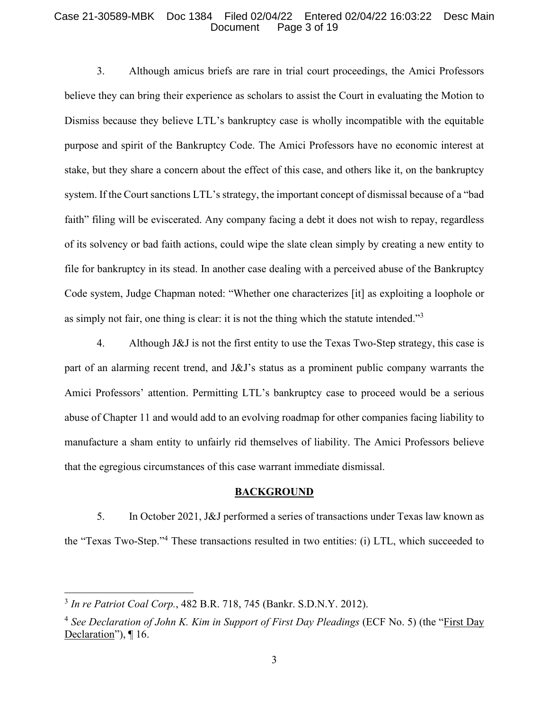#### Case 21-30589-MBK Doc 1384 Filed 02/04/22 Entered 02/04/22 16:03:22 Desc Main Document Page 3 of 19

3. Although amicus briefs are rare in trial court proceedings, the Amici Professors believe they can bring their experience as scholars to assist the Court in evaluating the Motion to Dismiss because they believe LTL's bankruptcy case is wholly incompatible with the equitable purpose and spirit of the Bankruptcy Code. The Amici Professors have no economic interest at stake, but they share a concern about the effect of this case, and others like it, on the bankruptcy system. If the Court sanctions LTL's strategy, the important concept of dismissal because of a "bad faith" filing will be eviscerated. Any company facing a debt it does not wish to repay, regardless of its solvency or bad faith actions, could wipe the slate clean simply by creating a new entity to file for bankruptcy in its stead. In another case dealing with a perceived abuse of the Bankruptcy Code system, Judge Chapman noted: "Whether one characterizes [it] as exploiting a loophole or as simply not fair, one thing is clear: it is not the thing which the statute intended."<sup>3</sup>

4. Although J&J is not the first entity to use the Texas Two-Step strategy, this case is part of an alarming recent trend, and J&J's status as a prominent public company warrants the Amici Professors' attention. Permitting LTL's bankruptcy case to proceed would be a serious abuse of Chapter 11 and would add to an evolving roadmap for other companies facing liability to manufacture a sham entity to unfairly rid themselves of liability. The Amici Professors believe that the egregious circumstances of this case warrant immediate dismissal.

#### **BACKGROUND**

5. In October 2021, J&J performed a series of transactions under Texas law known as the "Texas Two-Step."<sup>4</sup> These transactions resulted in two entities: (i) LTL, which succeeded to

<sup>3</sup> *In re Patriot Coal Corp.*, 482 B.R. 718, 745 (Bankr. S.D.N.Y. 2012).

<sup>4</sup> *See Declaration of John K. Kim in Support of First Day Pleadings* (ECF No. 5) (the "First Day Declaration"), ¶ 16.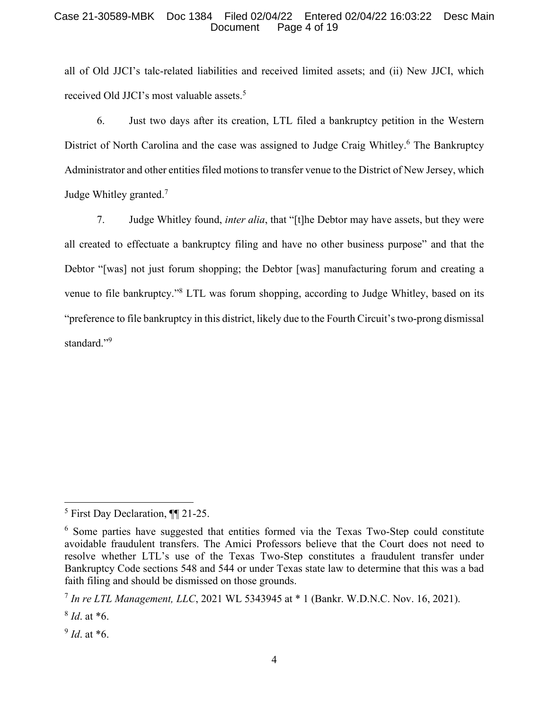#### Case 21-30589-MBK Doc 1384 Filed 02/04/22 Entered 02/04/22 16:03:22 Desc Main Document Page 4 of 19

all of Old JJCI's talc-related liabilities and received limited assets; and (ii) New JJCI, which received Old JJCI's most valuable assets.<sup>5</sup>

6. Just two days after its creation, LTL filed a bankruptcy petition in the Western District of North Carolina and the case was assigned to Judge Craig Whitley.<sup>6</sup> The Bankruptcy Administrator and other entities filed motions to transfer venue to the District of New Jersey, which Judge Whitley granted.<sup>7</sup>

7. Judge Whitley found, *inter alia*, that "[t]he Debtor may have assets, but they were all created to effectuate a bankruptcy filing and have no other business purpose" and that the Debtor "[was] not just forum shopping; the Debtor [was] manufacturing forum and creating a venue to file bankruptcy."<sup>8</sup> LTL was forum shopping, according to Judge Whitley, based on its "preference to file bankruptcy in this district, likely due to the Fourth Circuit's two-prong dismissal standard."<sup>9</sup>

9 *Id*. at \*6.

<sup>&</sup>lt;sup>5</sup> First Day Declaration, ¶¶ 21-25.

<sup>&</sup>lt;sup>6</sup> Some parties have suggested that entities formed via the Texas Two-Step could constitute avoidable fraudulent transfers. The Amici Professors believe that the Court does not need to resolve whether LTL's use of the Texas Two-Step constitutes a fraudulent transfer under Bankruptcy Code sections 548 and 544 or under Texas state law to determine that this was a bad faith filing and should be dismissed on those grounds.

<sup>7</sup> *In re LTL Management, LLC*, 2021 WL 5343945 at \* 1 (Bankr. W.D.N.C. Nov. 16, 2021).

<sup>8</sup> *Id*. at \*6.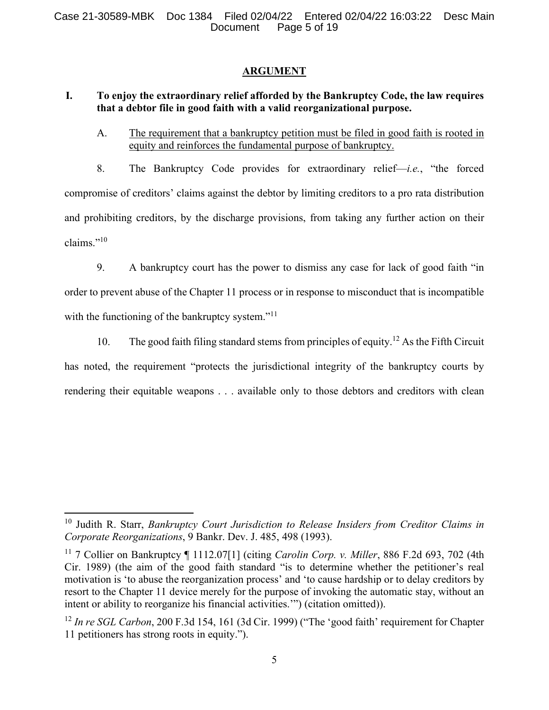### **ARGUMENT**

## **I. To enjoy the extraordinary relief afforded by the Bankruptcy Code, the law requires that a debtor file in good faith with a valid reorganizational purpose.**

A. The requirement that a bankruptcy petition must be filed in good faith is rooted in equity and reinforces the fundamental purpose of bankruptcy.

8. The Bankruptcy Code provides for extraordinary relief—*i.e.*, "the forced compromise of creditors' claims against the debtor by limiting creditors to a pro rata distribution and prohibiting creditors, by the discharge provisions, from taking any further action on their claims."<sup>10</sup>

9. A bankruptcy court has the power to dismiss any case for lack of good faith "in order to prevent abuse of the Chapter 11 process or in response to misconduct that is incompatible with the functioning of the bankruptcy system."<sup>11</sup>

10. The good faith filing standard stems from principles of equity.<sup>12</sup> As the Fifth Circuit has noted, the requirement "protects the jurisdictional integrity of the bankruptcy courts by rendering their equitable weapons . . . available only to those debtors and creditors with clean

<sup>10</sup> Judith R. Starr, *Bankruptcy Court Jurisdiction to Release Insiders from Creditor Claims in Corporate Reorganizations*, 9 Bankr. Dev. J. 485, 498 (1993).

<sup>11</sup> 7 Collier on Bankruptcy ¶ 1112.07[1] (citing *Carolin Corp. v. Miller*, 886 F.2d 693, 702 (4th Cir. 1989) (the aim of the good faith standard "is to determine whether the petitioner's real motivation is 'to abuse the reorganization process' and 'to cause hardship or to delay creditors by resort to the Chapter 11 device merely for the purpose of invoking the automatic stay, without an intent or ability to reorganize his financial activities.'") (citation omitted)).

<sup>12</sup> *In re SGL Carbon*, 200 F.3d 154, 161 (3d Cir. 1999) ("The 'good faith' requirement for Chapter 11 petitioners has strong roots in equity.").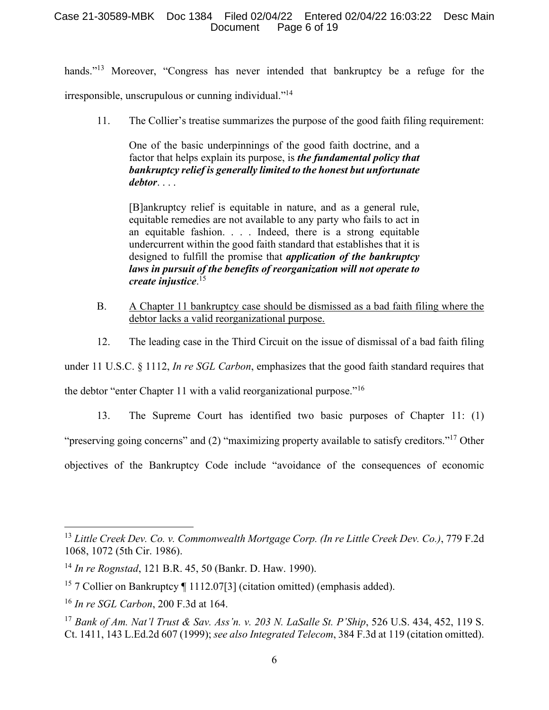### Case 21-30589-MBK Doc 1384 Filed 02/04/22 Entered 02/04/22 16:03:22 Desc Main Document Page 6 of 19

hands."<sup>13</sup> Moreover, "Congress has never intended that bankruptcy be a refuge for the

irresponsible, unscrupulous or cunning individual."<sup>14</sup>

11. The Collier's treatise summarizes the purpose of the good faith filing requirement:

One of the basic underpinnings of the good faith doctrine, and a factor that helps explain its purpose, is *the fundamental policy that bankruptcy relief is generally limited to the honest but unfortunate debtor*. . . .

[B]ankruptcy relief is equitable in nature, and as a general rule, equitable remedies are not available to any party who fails to act in an equitable fashion. . . . Indeed, there is a strong equitable undercurrent within the good faith standard that establishes that it is designed to fulfill the promise that *application of the bankruptcy laws in pursuit of the benefits of reorganization will not operate to create injustice*. 15

- B. A Chapter 11 bankruptcy case should be dismissed as a bad faith filing where the debtor lacks a valid reorganizational purpose.
- 12. The leading case in the Third Circuit on the issue of dismissal of a bad faith filing

under 11 U.S.C. § 1112, *In re SGL Carbon*, emphasizes that the good faith standard requires that

the debtor "enter Chapter 11 with a valid reorganizational purpose."<sup>16</sup>

13. The Supreme Court has identified two basic purposes of Chapter 11: (1)

"preserving going concerns" and (2) "maximizing property available to satisfy creditors."<sup>17</sup> Other

objectives of the Bankruptcy Code include "avoidance of the consequences of economic

<sup>13</sup> *Little Creek Dev. Co. v. Commonwealth Mortgage Corp. (In re Little Creek Dev. Co.)*, 779 F.2d 1068, 1072 (5th Cir. 1986).

<sup>14</sup> *In re Rognstad*, 121 B.R. 45, 50 (Bankr. D. Haw. 1990).

<sup>&</sup>lt;sup>15</sup> 7 Collier on Bankruptcy  $\P$  1112.07[3] (citation omitted) (emphasis added).

<sup>16</sup> *In re SGL Carbon*, 200 F.3d at 164.

<sup>17</sup> *Bank of Am. Nat'l Trust & Sav. Ass'n. v. 203 N. LaSalle St. P'Ship*, 526 U.S. 434, 452, 119 S. Ct. 1411, 143 L.Ed.2d 607 (1999); *see also Integrated Telecom*, 384 F.3d at 119 (citation omitted).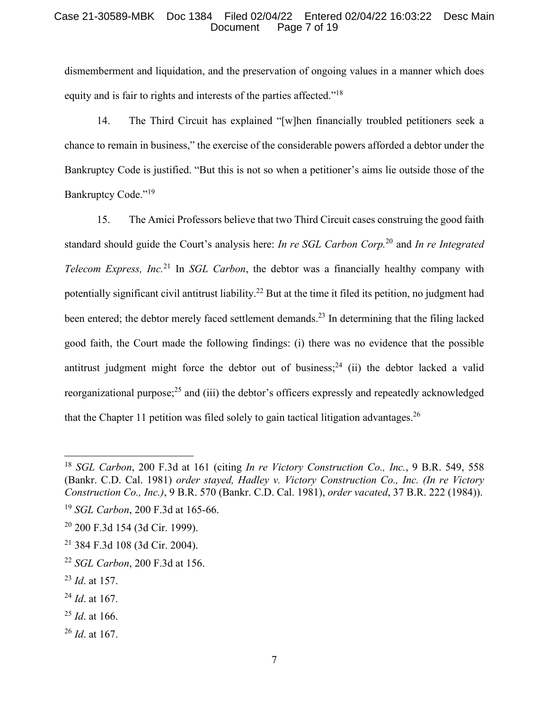#### Case 21-30589-MBK Doc 1384 Filed 02/04/22 Entered 02/04/22 16:03:22 Desc Main Document Page 7 of 19

dismemberment and liquidation, and the preservation of ongoing values in a manner which does equity and is fair to rights and interests of the parties affected."<sup>18</sup>

14. The Third Circuit has explained "[w]hen financially troubled petitioners seek a chance to remain in business," the exercise of the considerable powers afforded a debtor under the Bankruptcy Code is justified. "But this is not so when a petitioner's aims lie outside those of the Bankruptcy Code."<sup>19</sup>

15. The Amici Professors believe that two Third Circuit cases construing the good faith standard should guide the Court's analysis here: *In re SGL Carbon Corp.*<sup>20</sup> and *In re Integrated Telecom Express, Inc.*<sup>21</sup> In *SGL Carbon*, the debtor was a financially healthy company with potentially significant civil antitrust liability.<sup>22</sup> But at the time it filed its petition, no judgment had been entered; the debtor merely faced settlement demands.<sup>23</sup> In determining that the filing lacked good faith, the Court made the following findings: (i) there was no evidence that the possible antitrust judgment might force the debtor out of business;<sup>24</sup> (ii) the debtor lacked a valid reorganizational purpose;<sup>25</sup> and (iii) the debtor's officers expressly and repeatedly acknowledged that the Chapter 11 petition was filed solely to gain tactical litigation advantages.<sup>26</sup>

- <sup>24</sup> *Id*. at 167.
- <sup>25</sup> *Id*. at 166.
- <sup>26</sup> *Id*. at 167.

<sup>18</sup> *SGL Carbon*, 200 F.3d at 161 (citing *In re Victory Construction Co., Inc.*, 9 B.R. 549, 558 (Bankr. C.D. Cal. 1981) *order stayed, Hadley v. Victory Construction Co., Inc. (In re Victory Construction Co., Inc.)*, 9 B.R. 570 (Bankr. C.D. Cal. 1981), *order vacated*, 37 B.R. 222 (1984)).

<sup>19</sup> *SGL Carbon*, 200 F.3d at 165-66.

<sup>20</sup> 200 F.3d 154 (3d Cir. 1999).

<sup>21</sup> 384 F.3d 108 (3d Cir. 2004).

<sup>22</sup> *SGL Carbon*, 200 F.3d at 156.

<sup>23</sup> *Id*. at 157.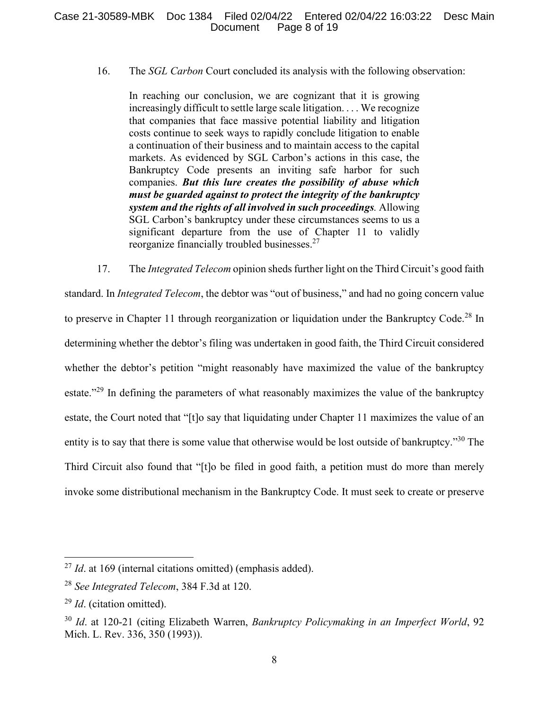16. The *SGL Carbon* Court concluded its analysis with the following observation:

In reaching our conclusion, we are cognizant that it is growing increasingly difficult to settle large scale litigation. . . . We recognize that companies that face massive potential liability and litigation costs continue to seek ways to rapidly conclude litigation to enable a continuation of their business and to maintain access to the capital markets. As evidenced by SGL Carbon's actions in this case, the Bankruptcy Code presents an inviting safe harbor for such companies. *But this lure creates the possibility of abuse which must be guarded against to protect the integrity of the bankruptcy system and the rights of all involved in such proceedings.* Allowing SGL Carbon's bankruptcy under these circumstances seems to us a significant departure from the use of Chapter 11 to validly reorganize financially troubled businesses.<sup>27</sup>

17. The *Integrated Telecom* opinion sheds further light on the Third Circuit's good faith standard. In *Integrated Telecom*, the debtor was "out of business," and had no going concern value to preserve in Chapter 11 through reorganization or liquidation under the Bankruptcy Code.<sup>28</sup> In determining whether the debtor's filing was undertaken in good faith, the Third Circuit considered whether the debtor's petition "might reasonably have maximized the value of the bankruptcy estate."<sup>29</sup> In defining the parameters of what reasonably maximizes the value of the bankruptcy estate, the Court noted that "[t]o say that liquidating under Chapter 11 maximizes the value of an entity is to say that there is some value that otherwise would be lost outside of bankruptcy."<sup>30</sup> The Third Circuit also found that "[t]o be filed in good faith, a petition must do more than merely invoke some distributional mechanism in the Bankruptcy Code. It must seek to create or preserve

<sup>27</sup> *Id*. at 169 (internal citations omitted) (emphasis added).

<sup>28</sup> *See Integrated Telecom*, 384 F.3d at 120.

<sup>29</sup> *Id*. (citation omitted).

<sup>30</sup> *Id*. at 120-21 (citing Elizabeth Warren, *Bankruptcy Policymaking in an Imperfect World*, 92 Mich. L. Rev. 336, 350 (1993)).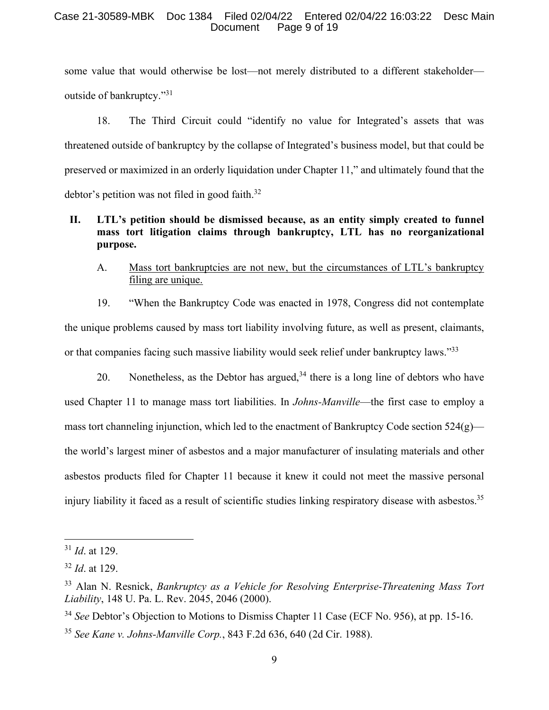#### Case 21-30589-MBK Doc 1384 Filed 02/04/22 Entered 02/04/22 16:03:22 Desc Main Document Page 9 of 19

some value that would otherwise be lost—not merely distributed to a different stakeholder outside of bankruptcy."<sup>31</sup>

18. The Third Circuit could "identify no value for Integrated's assets that was threatened outside of bankruptcy by the collapse of Integrated's business model, but that could be preserved or maximized in an orderly liquidation under Chapter 11," and ultimately found that the debtor's petition was not filed in good faith.<sup>32</sup>

# **II. LTL's petition should be dismissed because, as an entity simply created to funnel mass tort litigation claims through bankruptcy, LTL has no reorganizational purpose.**

A. Mass tort bankruptcies are not new, but the circumstances of LTL's bankruptcy filing are unique.

19. "When the Bankruptcy Code was enacted in 1978, Congress did not contemplate the unique problems caused by mass tort liability involving future, as well as present, claimants, or that companies facing such massive liability would seek relief under bankruptcy laws."<sup>33</sup>

20. Nonetheless, as the Debtor has argued,  $34$  there is a long line of debtors who have used Chapter 11 to manage mass tort liabilities. In *Johns-Manville*—the first case to employ a mass tort channeling injunction, which led to the enactment of Bankruptcy Code section  $524(g)$  the world's largest miner of asbestos and a major manufacturer of insulating materials and other asbestos products filed for Chapter 11 because it knew it could not meet the massive personal injury liability it faced as a result of scientific studies linking respiratory disease with asbestos.<sup>35</sup>

<sup>31</sup> *Id*. at 129.

<sup>32</sup> *Id*. at 129.

<sup>33</sup> Alan N. Resnick, *Bankruptcy as a Vehicle for Resolving Enterprise-Threatening Mass Tort Liability*, 148 U. Pa. L. Rev. 2045, 2046 (2000).

<sup>34</sup> *See* Debtor's Objection to Motions to Dismiss Chapter 11 Case (ECF No. 956), at pp. 15-16.

<sup>35</sup> *See Kane v. Johns-Manville Corp.*, 843 F.2d 636, 640 (2d Cir. 1988).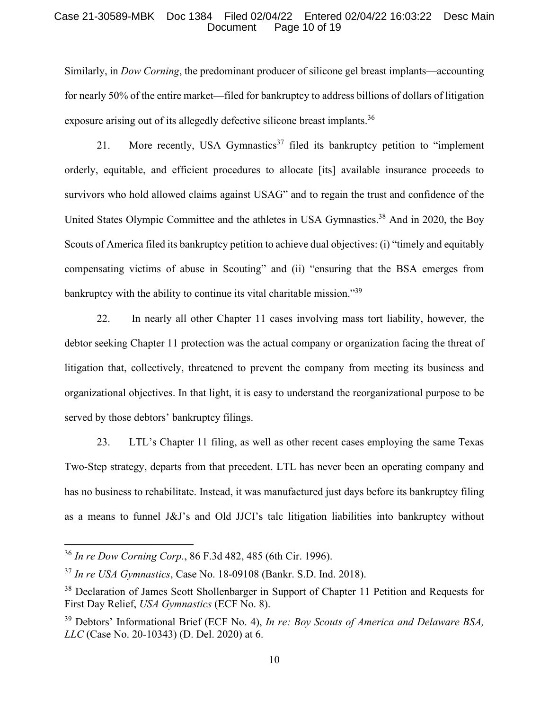#### Case 21-30589-MBK Doc 1384 Filed 02/04/22 Entered 02/04/22 16:03:22 Desc Main Document Page 10 of 19

Similarly, in *Dow Corning*, the predominant producer of silicone gel breast implants—accounting for nearly 50% of the entire market—filed for bankruptcy to address billions of dollars of litigation exposure arising out of its allegedly defective silicone breast implants.<sup>36</sup>

21. More recently, USA Gymnastics<sup>37</sup> filed its bankruptcy petition to "implement" orderly, equitable, and efficient procedures to allocate [its] available insurance proceeds to survivors who hold allowed claims against USAG" and to regain the trust and confidence of the United States Olympic Committee and the athletes in USA Gymnastics.<sup>38</sup> And in 2020, the Boy Scouts of America filed its bankruptcy petition to achieve dual objectives: (i) "timely and equitably compensating victims of abuse in Scouting" and (ii) "ensuring that the BSA emerges from bankruptcy with the ability to continue its vital charitable mission."<sup>39</sup>

22. In nearly all other Chapter 11 cases involving mass tort liability, however, the debtor seeking Chapter 11 protection was the actual company or organization facing the threat of litigation that, collectively, threatened to prevent the company from meeting its business and organizational objectives. In that light, it is easy to understand the reorganizational purpose to be served by those debtors' bankruptcy filings.

23. LTL's Chapter 11 filing, as well as other recent cases employing the same Texas Two-Step strategy, departs from that precedent. LTL has never been an operating company and has no business to rehabilitate. Instead, it was manufactured just days before its bankruptcy filing as a means to funnel J&J's and Old JJCI's talc litigation liabilities into bankruptcy without

<sup>36</sup> *In re Dow Corning Corp.*, 86 F.3d 482, 485 (6th Cir. 1996).

<sup>37</sup> *In re USA Gymnastics*, Case No. 18-09108 (Bankr. S.D. Ind. 2018).

<sup>&</sup>lt;sup>38</sup> Declaration of James Scott Shollenbarger in Support of Chapter 11 Petition and Requests for First Day Relief, *USA Gymnastics* (ECF No. 8).

<sup>39</sup> Debtors' Informational Brief (ECF No. 4), *In re: Boy Scouts of America and Delaware BSA, LLC* (Case No. 20-10343) (D. Del. 2020) at 6.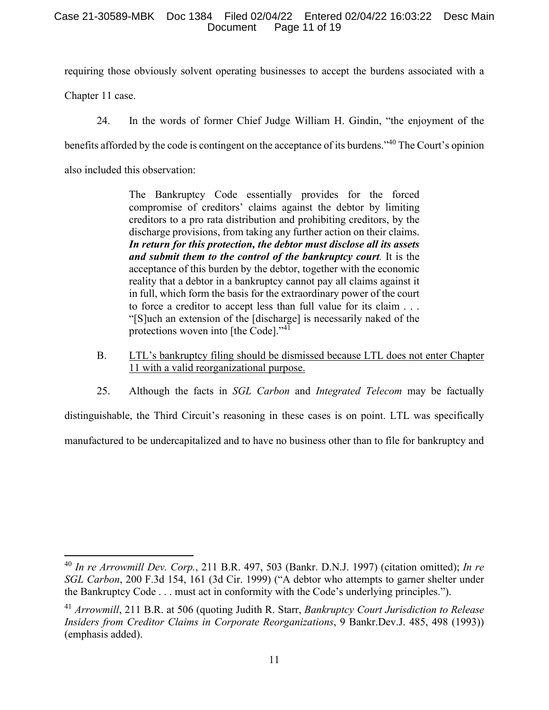### Case 21-30589-MBK Doc 1384 Filed 02/04/22 Entered 02/04/22 16:03:22 Desc Main Document Page 11 of 19

requiring those obviously solvent operating businesses to accept the burdens associated with a

Chapter 11 case.

24. In the words of former Chief Judge William H. Gindin, "the enjoyment of the benefits afforded by the code is contingent on the acceptance of its burdens."<sup>40</sup> The Court's opinion also included this observation:

> The Bankruptcy Code essentially provides for the forced compromise of creditors' claims against the debtor by limiting creditors to a pro rata distribution and prohibiting creditors, by the discharge provisions, from taking any further action on their claims. *In return for this protection, the debtor must disclose all its assets and submit them to the control of the bankruptcy court.* It is the acceptance of this burden by the debtor, together with the economic reality that a debtor in a bankruptcy cannot pay all claims against it in full, which form the basis for the extraordinary power of the court to force a creditor to accept less than full value for its claim . . . "[S]uch an extension of the [discharge] is necessarily naked of the protections woven into [the Code]."<sup>41</sup>

- B. LTL's bankruptcy filing should be dismissed because LTL does not enter Chapter 11 with a valid reorganizational purpose.
- 25. Although the facts in *SGL Carbon* and *Integrated Telecom* may be factually

distinguishable, the Third Circuit's reasoning in these cases is on point. LTL was specifically manufactured to be undercapitalized and to have no business other than to file for bankruptcy and

<sup>40</sup> *In re Arrowmill Dev. Corp.*, 211 B.R. 497, 503 (Bankr. D.N.J. 1997) (citation omitted); *In re SGL Carbon*, 200 F.3d 154, 161 (3d Cir. 1999) ("A debtor who attempts to garner shelter under the Bankruptcy Code . . . must act in conformity with the Code's underlying principles.").

<sup>41</sup> *Arrowmill*, 211 B.R. at 506 (quoting Judith R. Starr, *Bankruptcy Court Jurisdiction to Release Insiders from Creditor Claims in Corporate Reorganizations*, 9 Bankr.Dev.J. 485, 498 (1993)) (emphasis added).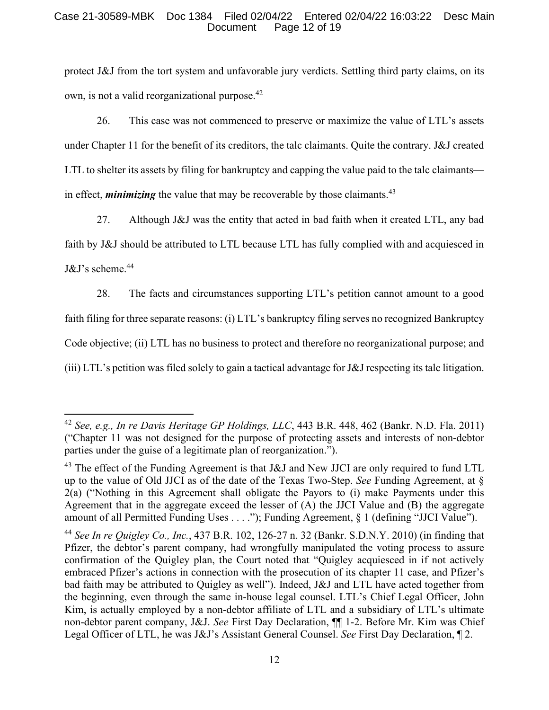#### Case 21-30589-MBK Doc 1384 Filed 02/04/22 Entered 02/04/22 16:03:22 Desc Main Document Page 12 of 19

protect J&J from the tort system and unfavorable jury verdicts. Settling third party claims, on its own, is not a valid reorganizational purpose.<sup>42</sup>

26. This case was not commenced to preserve or maximize the value of LTL's assets under Chapter 11 for the benefit of its creditors, the talc claimants. Quite the contrary. J&J created LTL to shelter its assets by filing for bankruptcy and capping the value paid to the talc claimants in effect, *minimizing* the value that may be recoverable by those claimants.<sup>43</sup>

27. Although J&J was the entity that acted in bad faith when it created LTL, any bad faith by J&J should be attributed to LTL because LTL has fully complied with and acquiesced in  $J&J's$  scheme.<sup>44</sup>

28. The facts and circumstances supporting LTL's petition cannot amount to a good faith filing for three separate reasons: (i) LTL's bankruptcy filing serves no recognized Bankruptcy Code objective; (ii) LTL has no business to protect and therefore no reorganizational purpose; and (iii) LTL's petition was filed solely to gain a tactical advantage for J&J respecting its talc litigation.

<sup>42</sup> *See, e.g., In re Davis Heritage GP Holdings, LLC*, 443 B.R. 448, 462 (Bankr. N.D. Fla. 2011) ("Chapter 11 was not designed for the purpose of protecting assets and interests of non-debtor parties under the guise of a legitimate plan of reorganization.").

<sup>&</sup>lt;sup>43</sup> The effect of the Funding Agreement is that J&J and New JJCI are only required to fund LTL up to the value of Old JJCI as of the date of the Texas Two-Step. *See* Funding Agreement, at § 2(a) ("Nothing in this Agreement shall obligate the Payors to (i) make Payments under this Agreement that in the aggregate exceed the lesser of (A) the JJCI Value and (B) the aggregate amount of all Permitted Funding Uses . . . ."); Funding Agreement, § 1 (defining "JJCI Value").

<sup>44</sup> *See In re Quigley Co., Inc.*, 437 B.R. 102, 126-27 n. 32 (Bankr. S.D.N.Y. 2010) (in finding that Pfizer, the debtor's parent company, had wrongfully manipulated the voting process to assure confirmation of the Quigley plan, the Court noted that "Quigley acquiesced in if not actively embraced Pfizer's actions in connection with the prosecution of its chapter 11 case, and Pfizer's bad faith may be attributed to Quigley as well"). Indeed, J&J and LTL have acted together from the beginning, even through the same in-house legal counsel. LTL's Chief Legal Officer, John Kim, is actually employed by a non-debtor affiliate of LTL and a subsidiary of LTL's ultimate non-debtor parent company, J&J. *See* First Day Declaration, ¶¶ 1-2. Before Mr. Kim was Chief Legal Officer of LTL, he was J&J's Assistant General Counsel. *See* First Day Declaration, ¶ 2.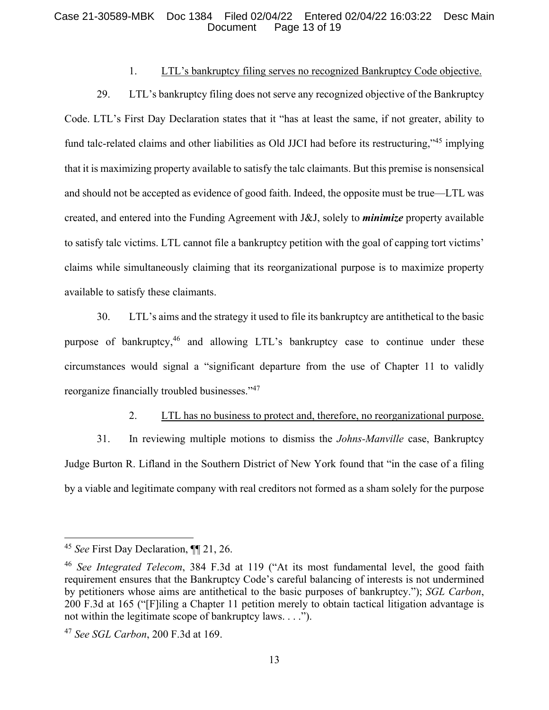#### Case 21-30589-MBK Doc 1384 Filed 02/04/22 Entered 02/04/22 16:03:22 Desc Main Document Page 13 of 19

## 1. LTL's bankruptcy filing serves no recognized Bankruptcy Code objective.

29. LTL's bankruptcy filing does not serve any recognized objective of the Bankruptcy Code. LTL's First Day Declaration states that it "has at least the same, if not greater, ability to fund talc-related claims and other liabilities as Old JJCI had before its restructuring,"<sup>45</sup> implying that it is maximizing property available to satisfy the talc claimants. But this premise is nonsensical and should not be accepted as evidence of good faith. Indeed, the opposite must be true—LTL was created, and entered into the Funding Agreement with J&J, solely to *minimize* property available to satisfy talc victims. LTL cannot file a bankruptcy petition with the goal of capping tort victims' claims while simultaneously claiming that its reorganizational purpose is to maximize property available to satisfy these claimants.

30. LTL's aims and the strategy it used to file its bankruptcy are antithetical to the basic purpose of bankruptcy,<sup>46</sup> and allowing LTL's bankruptcy case to continue under these circumstances would signal a "significant departure from the use of Chapter 11 to validly reorganize financially troubled businesses."<sup>47</sup>

## 2. LTL has no business to protect and, therefore, no reorganizational purpose.

31. In reviewing multiple motions to dismiss the *Johns-Manville* case, Bankruptcy Judge Burton R. Lifland in the Southern District of New York found that "in the case of a filing by a viable and legitimate company with real creditors not formed as a sham solely for the purpose

<sup>45</sup> *See* First Day Declaration, ¶¶ 21, 26.

<sup>46</sup> *See Integrated Telecom*, 384 F.3d at 119 ("At its most fundamental level, the good faith requirement ensures that the Bankruptcy Code's careful balancing of interests is not undermined by petitioners whose aims are antithetical to the basic purposes of bankruptcy."); *SGL Carbon*, 200 F.3d at 165 ("[F]iling a Chapter 11 petition merely to obtain tactical litigation advantage is not within the legitimate scope of bankruptcy laws. . . .").

<sup>47</sup> *See SGL Carbon*, 200 F.3d at 169.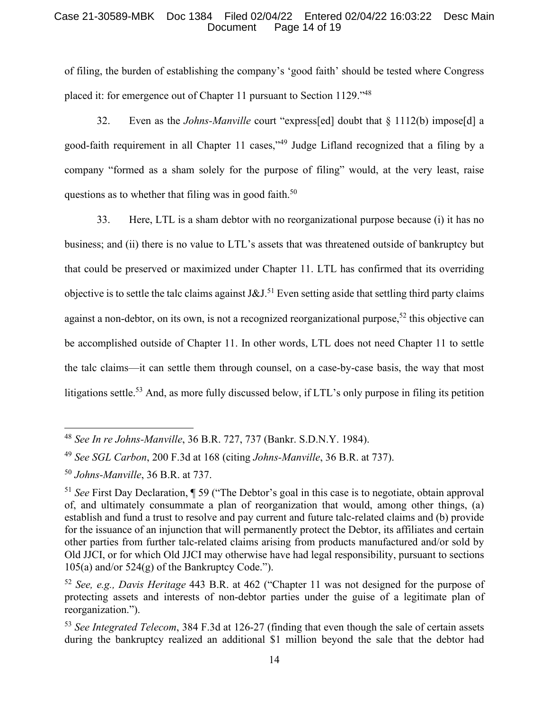#### Case 21-30589-MBK Doc 1384 Filed 02/04/22 Entered 02/04/22 16:03:22 Desc Main Document Page 14 of 19

of filing, the burden of establishing the company's 'good faith' should be tested where Congress placed it: for emergence out of Chapter 11 pursuant to Section 1129."<sup>48</sup>

32. Even as the *Johns-Manville* court "express[ed] doubt that § 1112(b) impose[d] a good-faith requirement in all Chapter 11 cases,"<sup>49</sup> Judge Lifland recognized that a filing by a company "formed as a sham solely for the purpose of filing" would, at the very least, raise questions as to whether that filing was in good faith.<sup>50</sup>

33. Here, LTL is a sham debtor with no reorganizational purpose because (i) it has no business; and (ii) there is no value to LTL's assets that was threatened outside of bankruptcy but that could be preserved or maximized under Chapter 11. LTL has confirmed that its overriding objective is to settle the talc claims against J&J.<sup>51</sup> Even setting aside that settling third party claims against a non-debtor, on its own, is not a recognized reorganizational purpose,<sup>52</sup> this objective can be accomplished outside of Chapter 11. In other words, LTL does not need Chapter 11 to settle the talc claims—it can settle them through counsel, on a case-by-case basis, the way that most litigations settle.<sup>53</sup> And, as more fully discussed below, if LTL's only purpose in filing its petition

<sup>48</sup> *See In re Johns-Manville*, 36 B.R. 727, 737 (Bankr. S.D.N.Y. 1984).

<sup>49</sup> *See SGL Carbon*, 200 F.3d at 168 (citing *Johns-Manville*, 36 B.R. at 737).

<sup>50</sup> *Johns-Manville*, 36 B.R. at 737.

<sup>51</sup> *See* First Day Declaration, ¶ 59 ("The Debtor's goal in this case is to negotiate, obtain approval of, and ultimately consummate a plan of reorganization that would, among other things, (a) establish and fund a trust to resolve and pay current and future talc-related claims and (b) provide for the issuance of an injunction that will permanently protect the Debtor, its affiliates and certain other parties from further talc-related claims arising from products manufactured and/or sold by Old JJCI, or for which Old JJCI may otherwise have had legal responsibility, pursuant to sections  $105(a)$  and/or  $524(g)$  of the Bankruptcy Code.").

<sup>52</sup> *See, e.g., Davis Heritage* 443 B.R. at 462 ("Chapter 11 was not designed for the purpose of protecting assets and interests of non-debtor parties under the guise of a legitimate plan of reorganization.").

<sup>53</sup> *See Integrated Telecom*, 384 F.3d at 126-27 (finding that even though the sale of certain assets during the bankruptcy realized an additional \$1 million beyond the sale that the debtor had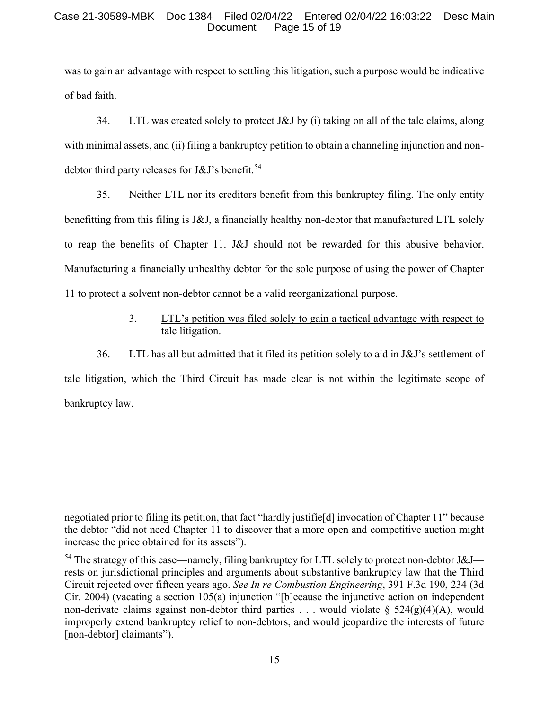#### Case 21-30589-MBK Doc 1384 Filed 02/04/22 Entered 02/04/22 16:03:22 Desc Main Document Page 15 of 19

was to gain an advantage with respect to settling this litigation, such a purpose would be indicative of bad faith.

34. LTL was created solely to protect J&J by (i) taking on all of the talc claims, along with minimal assets, and (ii) filing a bankruptcy petition to obtain a channeling injunction and nondebtor third party releases for  $J&J's$  benefit.<sup>54</sup>

35. Neither LTL nor its creditors benefit from this bankruptcy filing. The only entity benefitting from this filing is J&J, a financially healthy non-debtor that manufactured LTL solely to reap the benefits of Chapter 11. J&J should not be rewarded for this abusive behavior. Manufacturing a financially unhealthy debtor for the sole purpose of using the power of Chapter 11 to protect a solvent non-debtor cannot be a valid reorganizational purpose.

# 3. LTL's petition was filed solely to gain a tactical advantage with respect to talc litigation.

36. LTL has all but admitted that it filed its petition solely to aid in J&J's settlement of talc litigation, which the Third Circuit has made clear is not within the legitimate scope of bankruptcy law.

negotiated prior to filing its petition, that fact "hardly justifie[d] invocation of Chapter 11" because the debtor "did not need Chapter 11 to discover that a more open and competitive auction might increase the price obtained for its assets").

 $54$  The strategy of this case—namely, filing bankruptcy for LTL solely to protect non-debtor J&J rests on jurisdictional principles and arguments about substantive bankruptcy law that the Third Circuit rejected over fifteen years ago. *See In re Combustion Engineering*, 391 F.3d 190, 234 (3d Cir. 2004) (vacating a section 105(a) injunction "[b]ecause the injunctive action on independent non-derivate claims against non-debtor third parties ... would violate §  $524(g)(4)(A)$ , would improperly extend bankruptcy relief to non-debtors, and would jeopardize the interests of future [non-debtor] claimants").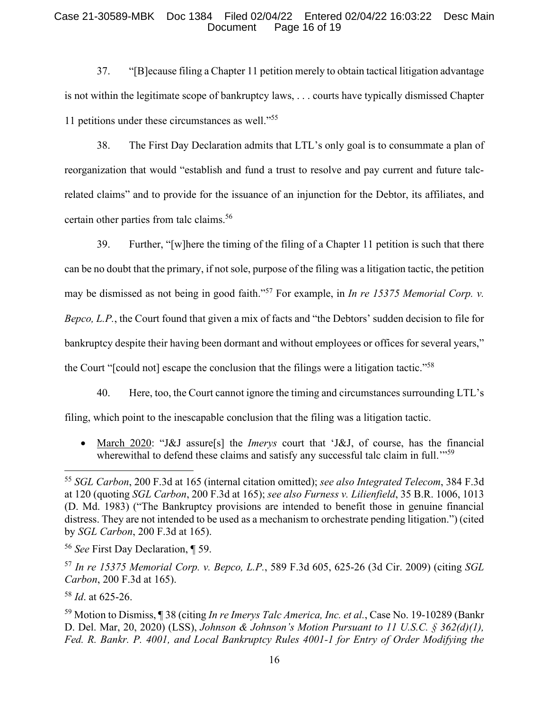### Case 21-30589-MBK Doc 1384 Filed 02/04/22 Entered 02/04/22 16:03:22 Desc Main Document Page 16 of 19

37. "[B]ecause filing a Chapter 11 petition merely to obtain tactical litigation advantage is not within the legitimate scope of bankruptcy laws, . . . courts have typically dismissed Chapter 11 petitions under these circumstances as well."<sup>55</sup>

38. The First Day Declaration admits that LTL's only goal is to consummate a plan of reorganization that would "establish and fund a trust to resolve and pay current and future talcrelated claims" and to provide for the issuance of an injunction for the Debtor, its affiliates, and certain other parties from talc claims.<sup>56</sup>

39. Further, "[w]here the timing of the filing of a Chapter 11 petition is such that there can be no doubt that the primary, if not sole, purpose of the filing was a litigation tactic, the petition may be dismissed as not being in good faith."<sup>57</sup> For example, in *In re 15375 Memorial Corp. v. Bepco, L.P.*, the Court found that given a mix of facts and "the Debtors' sudden decision to file for bankruptcy despite their having been dormant and without employees or offices for several years," the Court "[could not] escape the conclusion that the filings were a litigation tactic."<sup>58</sup>

40. Here, too, the Court cannot ignore the timing and circumstances surrounding LTL's

filing, which point to the inescapable conclusion that the filing was a litigation tactic.

 March 2020: "J&J assure[s] the *Imerys* court that 'J&J, of course, has the financial wherewithal to defend these claims and satisfy any successful talc claim in full."<sup>59</sup>

<sup>55</sup> *SGL Carbon*, 200 F.3d at 165 (internal citation omitted); *see also Integrated Telecom*, 384 F.3d at 120 (quoting *SGL Carbon*, 200 F.3d at 165); *see also Furness v. Lilienfield*, 35 B.R. 1006, 1013 (D. Md. 1983) ("The Bankruptcy provisions are intended to benefit those in genuine financial distress. They are not intended to be used as a mechanism to orchestrate pending litigation.") (cited by *SGL Carbon*, 200 F.3d at 165).

<sup>56</sup> *See* First Day Declaration, ¶ 59.

<sup>57</sup> *In re 15375 Memorial Corp. v. Bepco, L.P.*, 589 F.3d 605, 625-26 (3d Cir. 2009) (citing *SGL Carbon*, 200 F.3d at 165).

<sup>58</sup> *Id*. at 625-26.

<sup>59</sup> Motion to Dismiss, ¶ 38 (citing *In re Imerys Talc America, Inc. et al.*, Case No. 19-10289 (Bankr D. Del. Mar, 20, 2020) (LSS), *Johnson & Johnson's Motion Pursuant to 11 U.S.C. § 362(d)(1), Fed. R. Bankr. P. 4001, and Local Bankruptcy Rules 4001-1 for Entry of Order Modifying the*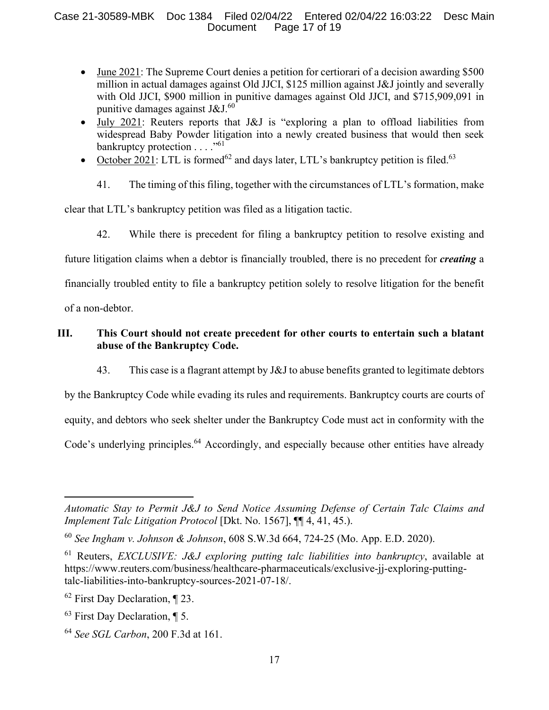## Case 21-30589-MBK Doc 1384 Filed 02/04/22 Entered 02/04/22 16:03:22 Desc Main Document Page 17 of 19

- June 2021: The Supreme Court denies a petition for certiorari of a decision awarding \$500 million in actual damages against Old JJCI, \$125 million against J&J jointly and severally with Old JJCI, \$900 million in punitive damages against Old JJCI, and \$715,909,091 in punitive damages against J&J. $60$
- July 2021: Reuters reports that J&J is "exploring a plan to offload liabilities from widespread Baby Powder litigation into a newly created business that would then seek bankruptcy protection  $\dots$ ."<sup>61</sup>
- October 2021: LTL is formed<sup>62</sup> and days later, LTL's bankruptcy petition is filed.<sup>63</sup>
	- 41. The timing of this filing, together with the circumstances of LTL's formation, make

clear that LTL's bankruptcy petition was filed as a litigation tactic.

42. While there is precedent for filing a bankruptcy petition to resolve existing and

future litigation claims when a debtor is financially troubled, there is no precedent for *creating* a

financially troubled entity to file a bankruptcy petition solely to resolve litigation for the benefit

of a non-debtor.

## **III. This Court should not create precedent for other courts to entertain such a blatant abuse of the Bankruptcy Code.**

43. This case is a flagrant attempt by J&J to abuse benefits granted to legitimate debtors

by the Bankruptcy Code while evading its rules and requirements. Bankruptcy courts are courts of equity, and debtors who seek shelter under the Bankruptcy Code must act in conformity with the Code's underlying principles.<sup>64</sup> Accordingly, and especially because other entities have already

*Automatic Stay to Permit J&J to Send Notice Assuming Defense of Certain Talc Claims and Implement Talc Litigation Protocol* [Dkt. No. 1567], ¶¶ 4, 41, 45.).

<sup>60</sup> *See Ingham v. Johnson & Johnson*, 608 S.W.3d 664, 724-25 (Mo. App. E.D. 2020).

<sup>61</sup> Reuters, *EXCLUSIVE: J&J exploring putting talc liabilities into bankruptcy*, available at https://www.reuters.com/business/healthcare-pharmaceuticals/exclusive-jj-exploring-puttingtalc-liabilities-into-bankruptcy-sources-2021-07-18/.

 $62$  First Day Declaration,  $\P$  23.

 $63$  First Day Declaration,  $\P$  5.

<sup>64</sup> *See SGL Carbon*, 200 F.3d at 161.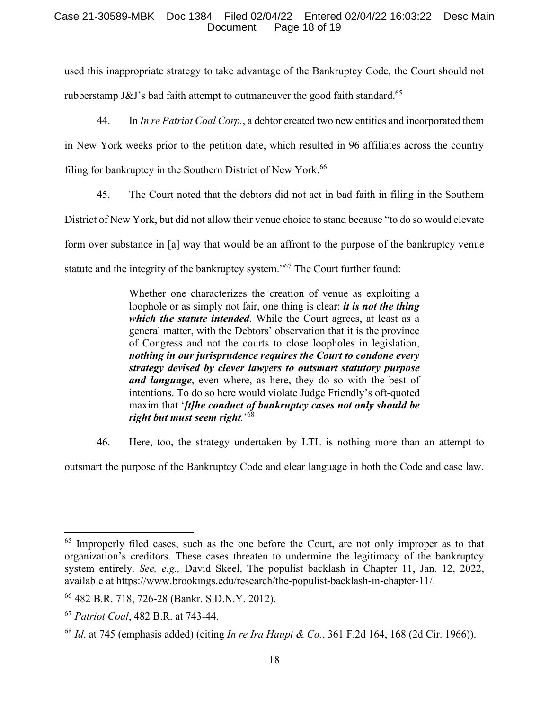#### Case 21-30589-MBK Doc 1384 Filed 02/04/22 Entered 02/04/22 16:03:22 Desc Main Document Page 18 of 19

used this inappropriate strategy to take advantage of the Bankruptcy Code, the Court should not rubberstamp J&J's bad faith attempt to outmaneuver the good faith standard.<sup>65</sup>

44. In *In re Patriot Coal Corp.*, a debtor created two new entities and incorporated them in New York weeks prior to the petition date, which resulted in 96 affiliates across the country filing for bankruptcy in the Southern District of New York.<sup>66</sup>

45. The Court noted that the debtors did not act in bad faith in filing in the Southern District of New York, but did not allow their venue choice to stand because "to do so would elevate form over substance in [a] way that would be an affront to the purpose of the bankruptcy venue statute and the integrity of the bankruptcy system."<sup>67</sup> The Court further found:

> Whether one characterizes the creation of venue as exploiting a loophole or as simply not fair, one thing is clear: *it is not the thing which the statute intended*. While the Court agrees, at least as a general matter, with the Debtors' observation that it is the province of Congress and not the courts to close loopholes in legislation, *nothing in our jurisprudence requires the Court to condone every strategy devised by clever lawyers to outsmart statutory purpose and language*, even where, as here, they do so with the best of intentions. To do so here would violate Judge Friendly's oft-quoted maxim that '*[t]he conduct of bankruptcy cases not only should be right but must seem right.*' 68

46. Here, too, the strategy undertaken by LTL is nothing more than an attempt to

outsmart the purpose of the Bankruptcy Code and clear language in both the Code and case law.

 $65$  Improperly filed cases, such as the one before the Court, are not only improper as to that organization's creditors. These cases threaten to undermine the legitimacy of the bankruptcy system entirely. *See, e.g.,* David Skeel, The populist backlash in Chapter 11, Jan. 12, 2022, available at https://www.brookings.edu/research/the-populist-backlash-in-chapter-11/.

<sup>66</sup> 482 B.R. 718, 726-28 (Bankr. S.D.N.Y. 2012).

<sup>67</sup> *Patriot Coal*, 482 B.R. at 743-44.

<sup>68</sup> *Id*. at 745 (emphasis added) (citing *In re Ira Haupt & Co.*, 361 F.2d 164, 168 (2d Cir. 1966)).